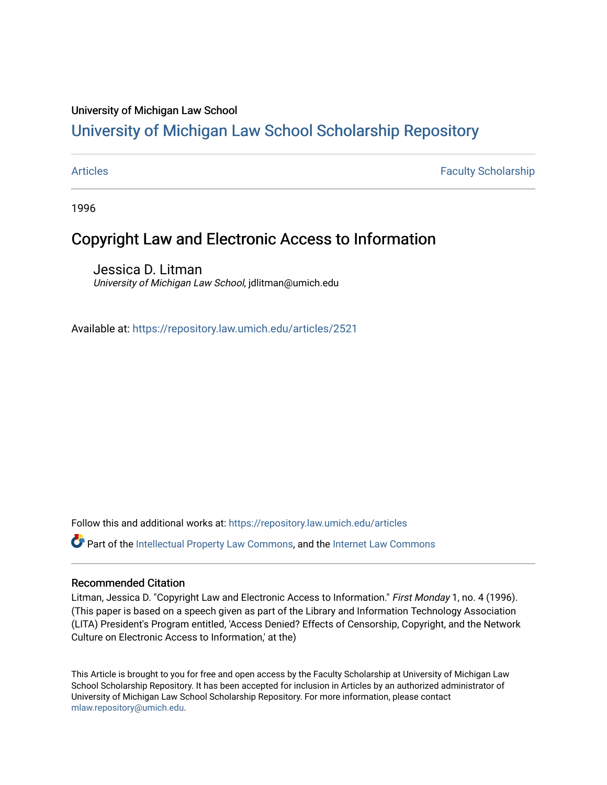#### University of Michigan Law School

# [University of Michigan Law School Scholarship Repository](https://repository.law.umich.edu/)

[Articles](https://repository.law.umich.edu/articles) **Faculty Scholarship** Faculty Scholarship

1996

# Copyright Law and Electronic Access to Information

Jessica D. Litman University of Michigan Law School, jdlitman@umich.edu

Available at: <https://repository.law.umich.edu/articles/2521>

Follow this and additional works at: [https://repository.law.umich.edu/articles](https://repository.law.umich.edu/articles?utm_source=repository.law.umich.edu%2Farticles%2F2521&utm_medium=PDF&utm_campaign=PDFCoverPages) 

Part of the [Intellectual Property Law Commons,](https://network.bepress.com/hgg/discipline/896?utm_source=repository.law.umich.edu%2Farticles%2F2521&utm_medium=PDF&utm_campaign=PDFCoverPages) and the [Internet Law Commons](https://network.bepress.com/hgg/discipline/892?utm_source=repository.law.umich.edu%2Farticles%2F2521&utm_medium=PDF&utm_campaign=PDFCoverPages) 

#### Recommended Citation

Litman, Jessica D. "Copyright Law and Electronic Access to Information." First Monday 1, no. 4 (1996). (This paper is based on a speech given as part of the Library and Information Technology Association (LITA) President's Program entitled, 'Access Denied? Effects of Censorship, Copyright, and the Network Culture on Electronic Access to Information,' at the)

This Article is brought to you for free and open access by the Faculty Scholarship at University of Michigan Law School Scholarship Repository. It has been accepted for inclusion in Articles by an authorized administrator of University of Michigan Law School Scholarship Repository. For more information, please contact [mlaw.repository@umich.edu.](mailto:mlaw.repository@umich.edu)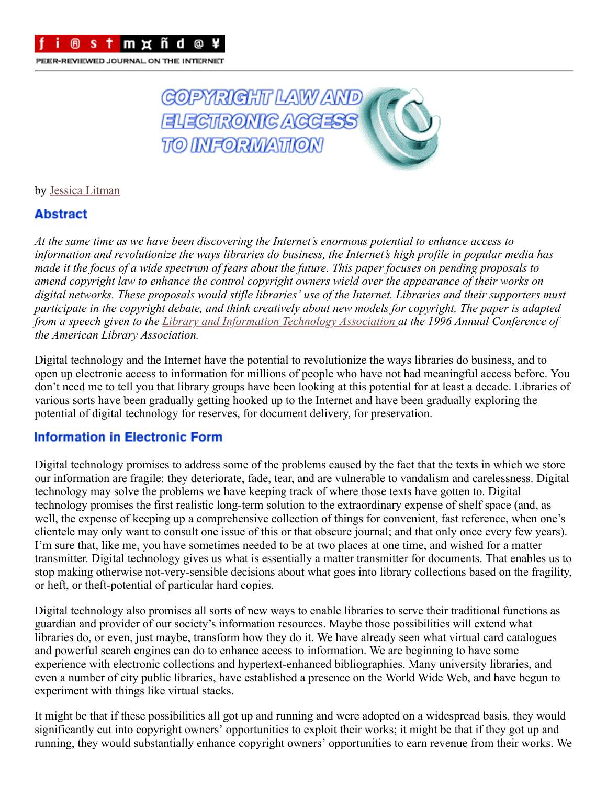

PEER-REVIEWED JOURNAL ON THE INTERNET



#### by [Jessica Litman](#page-7-0)

## **Abstract**

*At the same time as we have been discovering the Internet's enormous potential to enhance access to information and revolutionize the ways libraries do business, the Internet's high profile in popular media has made it the focus of a wide spectrum of fears about the future. This paper focuses on pending proposals to amend copyright law to enhance the control copyright owners wield over the appearance of their works on digital networks. These proposals would stifle libraries' use of the Internet. Libraries and their supporters must participate in the copyright debate, and think creatively about new models for copyright. The paper is adapted from a speech given to the [Library and Information Technology Association a](http://www.ala.org/lita.html)t the 1996 Annual Conference of the American Library Association.*

Digital technology and the Internet have the potential to revolutionize the ways libraries do business, and to open up electronic access to information for millions of people who have not had meaningful access before. You don't need me to tell you that library groups have been looking at this potential for at least a decade. Libraries of various sorts have been gradually getting hooked up to the Internet and have been gradually exploring the potential of digital technology for reserves, for document delivery, for preservation.

## **Information in Electronic Form**

Digital technology promises to address some of the problems caused by the fact that the texts in which we store our information are fragile: they deteriorate, fade, tear, and are vulnerable to vandalism and carelessness. Digital technology may solve the problems we have keeping track of where those texts have gotten to. Digital technology promises the first realistic long-term solution to the extraordinary expense of shelf space (and, as well, the expense of keeping up a comprehensive collection of things for convenient, fast reference, when one's clientele may only want to consult one issue of this or that obscure journal; and that only once every few years). I'm sure that, like me, you have sometimes needed to be at two places at one time, and wished for a matter transmitter. Digital technology gives us what is essentially a matter transmitter for documents. That enables us to stop making otherwise not-very-sensible decisions about what goes into library collections based on the fragility, or heft, or theft-potential of particular hard copies.

Digital technology also promises all sorts of new ways to enable libraries to serve their traditional functions as guardian and provider of our society's information resources. Maybe those possibilities will extend what libraries do, or even, just maybe, transform how they do it. We have already seen what virtual card catalogues and powerful search engines can do to enhance access to information. We are beginning to have some experience with electronic collections and hypertext-enhanced bibliographies. Many university libraries, and even a number of city public libraries, have established a presence on the World Wide Web, and have begun to experiment with things like virtual stacks.

It might be that if these possibilities all got up and running and were adopted on a widespread basis, they would significantly cut into copyright owners' opportunities to exploit their works; it might be that if they got up and running, they would substantially enhance copyright owners' opportunities to earn revenue from their works. We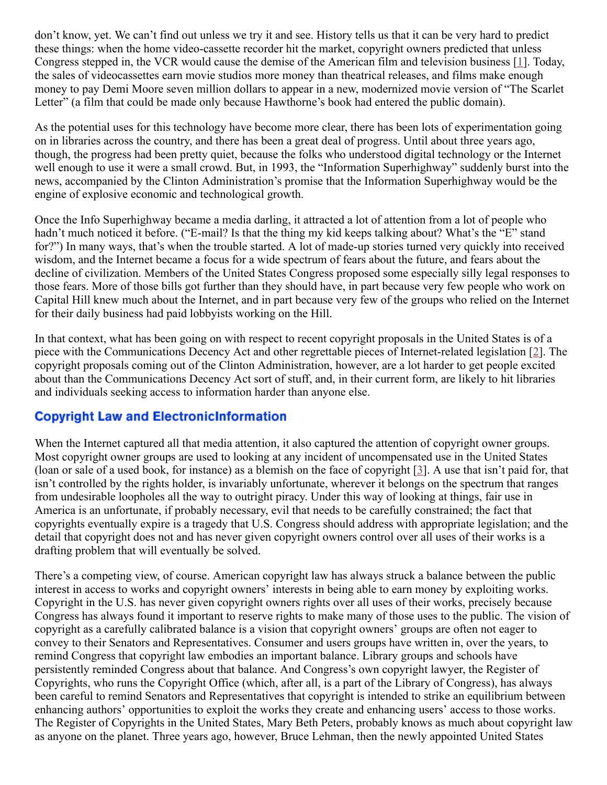don't know, yet. We can't find out unless we try it and see. History tells us that it can be very hard to predict these things: when the home video-cassette recorder hit the market, copyright owners predicted that unless Congress stepped in, the VCR would cause the demise of the American film and television business [[1\]](#page-7-1). Today, the sales of videocassettes earn movie studios more money than theatrical releases, and films make enough money to pay Demi Moore seven million dollars to appear in a new, modernized movie version of "The Scarlet Letter" (a film that could be made only because Hawthorne's book had entered the public domain).

As the potential uses for this technology have become more clear, there has been lots of experimentation going on in libraries across the country, and there has been a great deal of progress. Until about three years ago, though, the progress had been pretty quiet, because the folks who understood digital technology or the Internet well enough to use it were a small crowd. But, in 1993, the "Information Superhighway" suddenly burst into the news, accompanied by the Clinton Administration's promise that the Information Superhighway would be the engine of explosive economic and technological growth.

Once the Info Superhighway became a media darling, it attracted a lot of attention from a lot of people who hadn't much noticed it before. ("E-mail? Is that the thing my kid keeps talking about? What's the "E" stand for?") In many ways, that's when the trouble started. A lot of made-up stories turned very quickly into received wisdom, and the Internet became a focus for a wide spectrum of fears about the future, and fears about the decline of civilization. Members of the United States Congress proposed some especially silly legal responses to those fears. More of those bills got further than they should have, in part because very few people who work on Capital Hill knew much about the Internet, and in part because very few of the groups who relied on the Internet for their daily business had paid lobbyists working on the Hill.

In that context, what has been going on with respect to recent copyright proposals in the United States is of a piece with the Communications Decency Act and other regrettable pieces of Internet-related legislation [[2\]](#page-7-2). The copyright proposals coming out of the Clinton Administration, however, are a lot harder to get people excited about than the Communications Decency Act sort of stuff, and, in their current form, are likely to hit libraries and individuals seeking access to information harder than anyone else.

## **Copyright Law and ElectronicInformation**

When the Internet captured all that media attention, it also captured the attention of copyright owner groups. Most copyright owner groups are used to looking at any incident of uncompensated use in the United States (loan or sale of a used book, for instance) as a blemish on the face of copyright [[3\]](#page-7-3). A use that isn't paid for, that isn't controlled by the rights holder, is invariably unfortunate, wherever it belongs on the spectrum that ranges from undesirable loopholes all the way to outright piracy. Under this way of looking at things, fair use in America is an unfortunate, if probably necessary, evil that needs to be carefully constrained; the fact that copyrights eventually expire is a tragedy that U.S. Congress should address with appropriate legislation; and the detail that copyright does not and has never given copyright owners control over all uses of their works is a drafting problem that will eventually be solved.

There's a competing view, of course. American copyright law has always struck a balance between the public interest in access to works and copyright owners' interests in being able to earn money by exploiting works. Copyright in the U.S. has never given copyright owners rights over all uses of their works, precisely because Congress has always found it important to reserve rights to make many of those uses to the public. The vision of copyright as a carefully calibrated balance is a vision that copyright owners' groups are often not eager to convey to their Senators and Representatives. Consumer and users groups have written in, over the years, to remind Congress that copyright law embodies an important balance. Library groups and schools have persistently reminded Congress about that balance. And Congress's own copyright lawyer, the Register of Copyrights, who runs the Copyright Office (which, after all, is a part of the Library of Congress), has always been careful to remind Senators and Representatives that copyright is intended to strike an equilibrium between enhancing authors' opportunities to exploit the works they create and enhancing users' access to those works. The Register of Copyrights in the United States, Mary Beth Peters, probably knows as much about copyright law as anyone on the planet. Three years ago, however, Bruce Lehman, then the newly appointed United States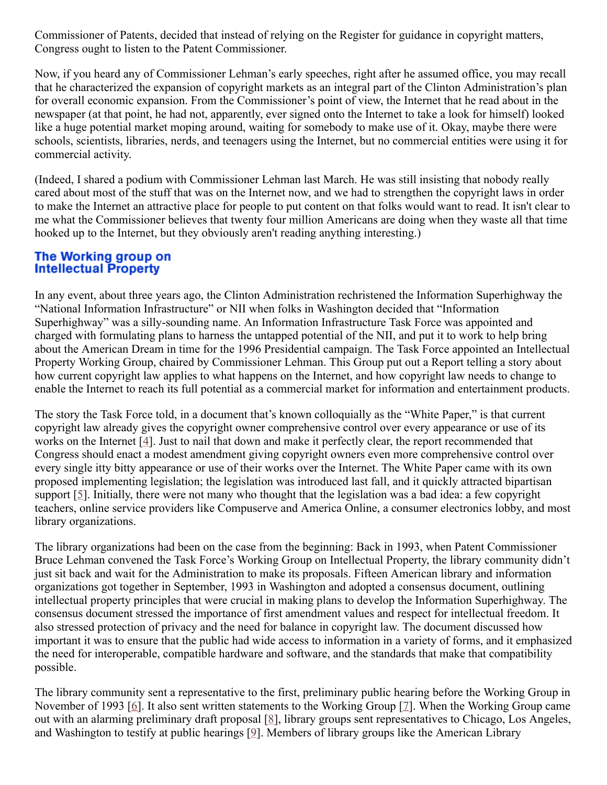Commissioner of Patents, decided that instead of relying on the Register for guidance in copyright matters, Congress ought to listen to the Patent Commissioner.

Now, if you heard any of Commissioner Lehman's early speeches, right after he assumed office, you may recall that he characterized the expansion of copyright markets as an integral part of the Clinton Administration's plan for overall economic expansion. From the Commissioner's point of view, the Internet that he read about in the newspaper (at that point, he had not, apparently, ever signed onto the Internet to take a look for himself) looked like a huge potential market moping around, waiting for somebody to make use of it. Okay, maybe there were schools, scientists, libraries, nerds, and teenagers using the Internet, but no commercial entities were using it for commercial activity.

(Indeed, I shared a podium with Commissioner Lehman last March. He was still insisting that nobody really cared about most of the stuff that was on the Internet now, and we had to strengthen the copyright laws in order to make the Internet an attractive place for people to put content on that folks would want to read. It isn't clear to me what the Commissioner believes that twenty four million Americans are doing when they waste all that time hooked up to the Internet, but they obviously aren't reading anything interesting.)

#### The Working group on **Intellectual Property**

In any event, about three years ago, the Clinton Administration rechristened the Information Superhighway the "National Information Infrastructure" or NII when folks in Washington decided that "Information Superhighway" was a silly-sounding name. An Information Infrastructure Task Force was appointed and charged with formulating plans to harness the untapped potential of the NII, and put it to work to help bring about the American Dream in time for the 1996 Presidential campaign. The Task Force appointed an Intellectual Property Working Group, chaired by Commissioner Lehman. This Group put out a Report telling a story about how current copyright law applies to what happens on the Internet, and how copyright law needs to change to enable the Internet to reach its full potential as a commercial market for information and entertainment products.

The story the Task Force told, in a document that's known colloquially as the "White Paper," is that current copyright law already gives the copyright owner comprehensive control over every appearance or use of its works on the Internet  $[4]$  $[4]$ . Just to nail that down and make it perfectly clear, the report recommended that Congress should enact a modest amendment giving copyright owners even more comprehensive control over every single itty bitty appearance or use of their works over the Internet. The White Paper came with its own proposed implementing legislation; the legislation was introduced last fall, and it quickly attracted bipartisan support  $[5]$  $[5]$ . Initially, there were not many who thought that the legislation was a bad idea: a few copyright teachers, online service providers like Compuserve and America Online, a consumer electronics lobby, and most library organizations.

The library organizations had been on the case from the beginning: Back in 1993, when Patent Commissioner Bruce Lehman convened the Task Force's Working Group on Intellectual Property, the library community didn't just sit back and wait for the Administration to make its proposals. Fifteen American library and information organizations got together in September, 1993 in Washington and adopted a consensus document, outlining intellectual property principles that were crucial in making plans to develop the Information Superhighway. The consensus document stressed the importance of first amendment values and respect for intellectual freedom. It also stressed protection of privacy and the need for balance in copyright law. The document discussed how important it was to ensure that the public had wide access to information in a variety of forms, and it emphasized the need for interoperable, compatible hardware and software, and the standards that make that compatibility possible.

The library community sent a representative to the first, preliminary public hearing before the Working Group in November of 1993 [\[6](#page-7-6)]. It also sent written statements to the Working Group [\[7](#page-7-7)]. When the Working Group came out with an alarming preliminary draft proposal [\[8\]](#page-8-0), library groups sent representatives to Chicago, Los Angeles, and Washington to testify at public hearings [[9\]](#page-8-1). Members of library groups like the American Library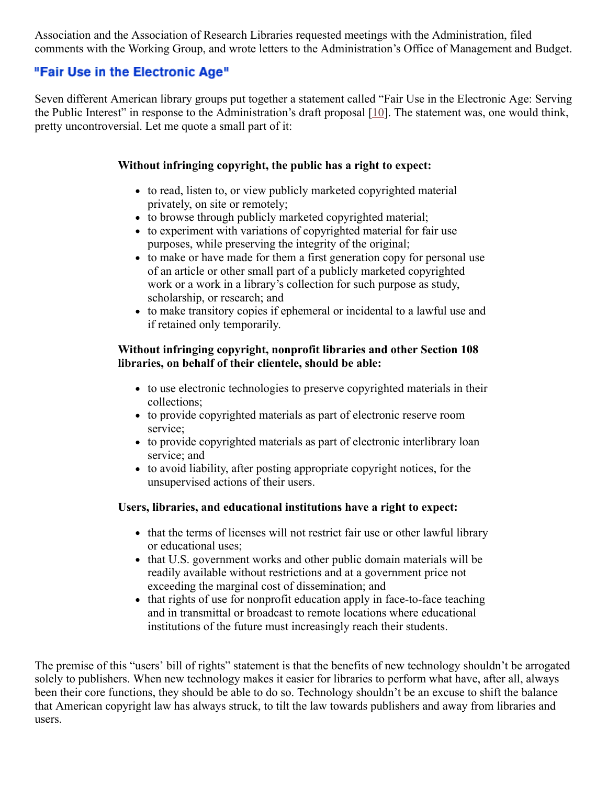Association and the Association of Research Libraries requested meetings with the Administration, filed comments with the Working Group, and wrote letters to the Administration's Office of Management and Budget.

## "Fair Use in the Electronic Age"

Seven different American library groups put together a statement called "Fair Use in the Electronic Age: Serving the Public Interest" in response to the Administration's draft proposal  $[10]$  $[10]$ . The statement was, one would think, pretty uncontroversial. Let me quote a small part of it:

#### **Without infringing copyright, the public has a right to expect:**

- to read, listen to, or view publicly marketed copyrighted material privately, on site or remotely;
- to browse through publicly marketed copyrighted material;
- to experiment with variations of copyrighted material for fair use purposes, while preserving the integrity of the original;
- to make or have made for them a first generation copy for personal use of an article or other small part of a publicly marketed copyrighted work or a work in a library's collection for such purpose as study, scholarship, or research; and
- to make transitory copies if ephemeral or incidental to a lawful use and if retained only temporarily.

#### **Without infringing copyright, nonprofit libraries and other Section 108 libraries, on behalf of their clientele, should be able:**

- to use electronic technologies to preserve copyrighted materials in their collections;
- to provide copyrighted materials as part of electronic reserve room service;
- to provide copyrighted materials as part of electronic interlibrary loan service; and
- to avoid liability, after posting appropriate copyright notices, for the unsupervised actions of their users.

#### **Users, libraries, and educational institutions have a right to expect:**

- that the terms of licenses will not restrict fair use or other lawful library or educational uses;
- that U.S. government works and other public domain materials will be readily available without restrictions and at a government price not exceeding the marginal cost of dissemination; and
- that rights of use for nonprofit education apply in face-to-face teaching and in transmittal or broadcast to remote locations where educational institutions of the future must increasingly reach their students.

The premise of this "users' bill of rights" statement is that the benefits of new technology shouldn't be arrogated solely to publishers. When new technology makes it easier for libraries to perform what have, after all, always been their core functions, they should be able to do so. Technology shouldn't be an excuse to shift the balance that American copyright law has always struck, to tilt the law towards publishers and away from libraries and users.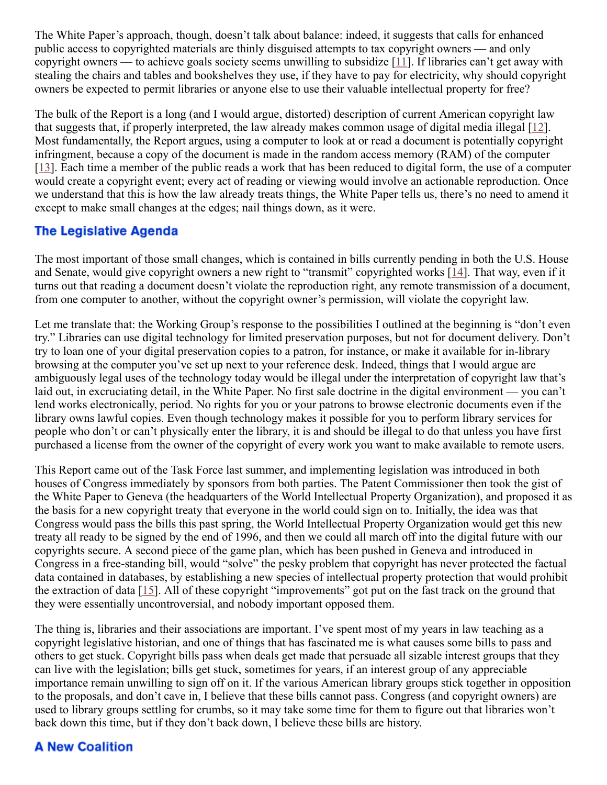The White Paper's approach, though, doesn't talk about balance: indeed, it suggests that calls for enhanced public access to copyrighted materials are thinly disguised attempts to tax copyright owners — and only copyright owners — to achieve goals society seems unwilling to subsidize  $[11]$  $[11]$ . If libraries can't get away with stealing the chairs and tables and bookshelves they use, if they have to pay for electricity, why should copyright owners be expected to permit libraries or anyone else to use their valuable intellectual property for free?

The bulk of the Report is a long (and I would argue, distorted) description of current American copyright law that suggests that, if properly interpreted, the law already makes common usage of digital media illegal [[12\]](#page-8-4). Most fundamentally, the Report argues, using a computer to look at or read a document is potentially copyright infringment, because a copy of the document is made in the random access memory (RAM) of the computer [[13\]](#page-8-5). Each time a member of the public reads a work that has been reduced to digital form, the use of a computer would create a copyright event; every act of reading or viewing would involve an actionable reproduction. Once we understand that this is how the law already treats things, the White Paper tells us, there's no need to amend it except to make small changes at the edges; nail things down, as it were.

## **The Legislative Agenda**

The most important of those small changes, which is contained in bills currently pending in both the U.S. House and Senate, would give copyright owners a new right to "transmit" copyrighted works [[14\]](#page-8-6). That way, even if it turns out that reading a document doesn't violate the reproduction right, any remote transmission of a document, from one computer to another, without the copyright owner's permission, will violate the copyright law.

Let me translate that: the Working Group's response to the possibilities I outlined at the beginning is "don't even try." Libraries can use digital technology for limited preservation purposes, but not for document delivery. Don't try to loan one of your digital preservation copies to a patron, for instance, or make it available for in-library browsing at the computer you've set up next to your reference desk. Indeed, things that I would argue are ambiguously legal uses of the technology today would be illegal under the interpretation of copyright law that's laid out, in excruciating detail, in the White Paper. No first sale doctrine in the digital environment — you can't lend works electronically, period. No rights for you or your patrons to browse electronic documents even if the library owns lawful copies. Even though technology makes it possible for you to perform library services for people who don't or can't physically enter the library, it is and should be illegal to do that unless you have first purchased a license from the owner of the copyright of every work you want to make available to remote users.

This Report came out of the Task Force last summer, and implementing legislation was introduced in both houses of Congress immediately by sponsors from both parties. The Patent Commissioner then took the gist of the White Paper to Geneva (the headquarters of the World Intellectual Property Organization), and proposed it as the basis for a new copyright treaty that everyone in the world could sign on to. Initially, the idea was that Congress would pass the bills this past spring, the World Intellectual Property Organization would get this new treaty all ready to be signed by the end of 1996, and then we could all march off into the digital future with our copyrights secure. A second piece of the game plan, which has been pushed in Geneva and introduced in Congress in a free-standing bill, would "solve" the pesky problem that copyright has never protected the factual data contained in databases, by establishing a new species of intellectual property protection that would prohibit the extraction of data [[15\]](#page-8-7). All of these copyright "improvements" got put on the fast track on the ground that they were essentially uncontroversial, and nobody important opposed them.

The thing is, libraries and their associations are important. I've spent most of my years in law teaching as a copyright legislative historian, and one of things that has fascinated me is what causes some bills to pass and others to get stuck. Copyright bills pass when deals get made that persuade all sizable interest groups that they can live with the legislation; bills get stuck, sometimes for years, if an interest group of any appreciable importance remain unwilling to sign off on it. If the various American library groups stick together in opposition to the proposals, and don't cave in, I believe that these bills cannot pass. Congress (and copyright owners) are used to library groups settling for crumbs, so it may take some time for them to figure out that libraries won't back down this time, but if they don't back down, I believe these bills are history.

# **A New Coalition**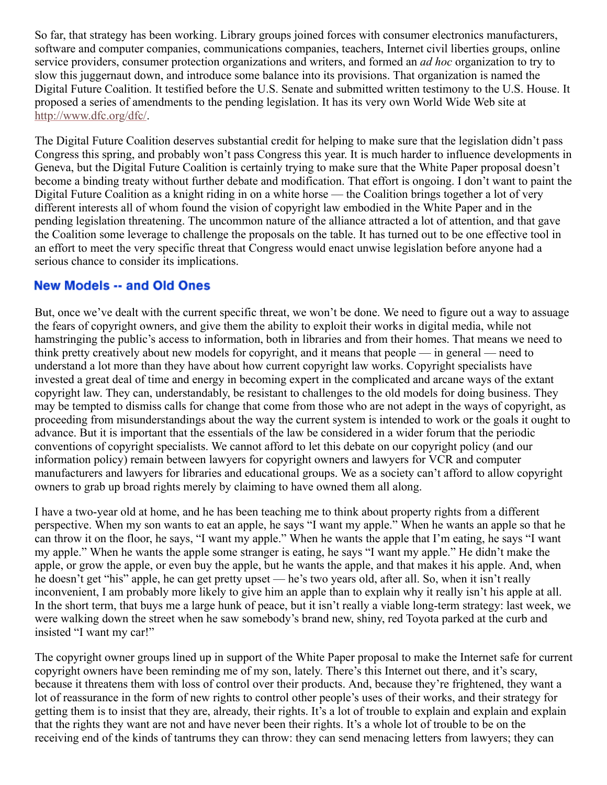So far, that strategy has been working. Library groups joined forces with consumer electronics manufacturers, software and computer companies, communications companies, teachers, Internet civil liberties groups, online service providers, consumer protection organizations and writers, and formed an *ad hoc* organization to try to slow this juggernaut down, and introduce some balance into its provisions. That organization is named the Digital Future Coalition. It testified before the U.S. Senate and submitted written testimony to the U.S. House. It proposed a series of amendments to the pending legislation. It has its very own World Wide Web site at [http://www.dfc.org/dfc/.](http://www.dfc.org/dfc/)

The Digital Future Coalition deserves substantial credit for helping to make sure that the legislation didn't pass Congress this spring, and probably won't pass Congress this year. It is much harder to influence developments in Geneva, but the Digital Future Coalition is certainly trying to make sure that the White Paper proposal doesn't become a binding treaty without further debate and modification. That effort is ongoing. I don't want to paint the Digital Future Coalition as a knight riding in on a white horse — the Coalition brings together a lot of very different interests all of whom found the vision of copyright law embodied in the White Paper and in the pending legislation threatening. The uncommon nature of the alliance attracted a lot of attention, and that gave the Coalition some leverage to challenge the proposals on the table. It has turned out to be one effective tool in an effort to meet the very specific threat that Congress would enact unwise legislation before anyone had a serious chance to consider its implications.

## **New Models -- and Old Ones**

But, once we've dealt with the current specific threat, we won't be done. We need to figure out a way to assuage the fears of copyright owners, and give them the ability to exploit their works in digital media, while not hamstringing the public's access to information, both in libraries and from their homes. That means we need to think pretty creatively about new models for copyright, and it means that people — in general — need to understand a lot more than they have about how current copyright law works. Copyright specialists have invested a great deal of time and energy in becoming expert in the complicated and arcane ways of the extant copyright law. They can, understandably, be resistant to challenges to the old models for doing business. They may be tempted to dismiss calls for change that come from those who are not adept in the ways of copyright, as proceeding from misunderstandings about the way the current system is intended to work or the goals it ought to advance. But it is important that the essentials of the law be considered in a wider forum that the periodic conventions of copyright specialists. We cannot afford to let this debate on our copyright policy (and our information policy) remain between lawyers for copyright owners and lawyers for VCR and computer manufacturers and lawyers for libraries and educational groups. We as a society can't afford to allow copyright owners to grab up broad rights merely by claiming to have owned them all along.

I have a two-year old at home, and he has been teaching me to think about property rights from a different perspective. When my son wants to eat an apple, he says "I want my apple." When he wants an apple so that he can throw it on the floor, he says, "I want my apple." When he wants the apple that I'm eating, he says "I want my apple." When he wants the apple some stranger is eating, he says "I want my apple." He didn't make the apple, or grow the apple, or even buy the apple, but he wants the apple, and that makes it his apple. And, when he doesn't get "his" apple, he can get pretty upset — he's two years old, after all. So, when it isn't really inconvenient, I am probably more likely to give him an apple than to explain why it really isn't his apple at all. In the short term, that buys me a large hunk of peace, but it isn't really a viable long-term strategy: last week, we were walking down the street when he saw somebody's brand new, shiny, red Toyota parked at the curb and insisted "I want my car!"

The copyright owner groups lined up in support of the White Paper proposal to make the Internet safe for current copyright owners have been reminding me of my son, lately. There's this Internet out there, and it's scary, because it threatens them with loss of control over their products. And, because they're frightened, they want a lot of reassurance in the form of new rights to control other people's uses of their works, and their strategy for getting them is to insist that they are, already, their rights. It's a lot of trouble to explain and explain and explain that the rights they want are not and have never been their rights. It's a whole lot of trouble to be on the receiving end of the kinds of tantrums they can throw: they can send menacing letters from lawyers; they can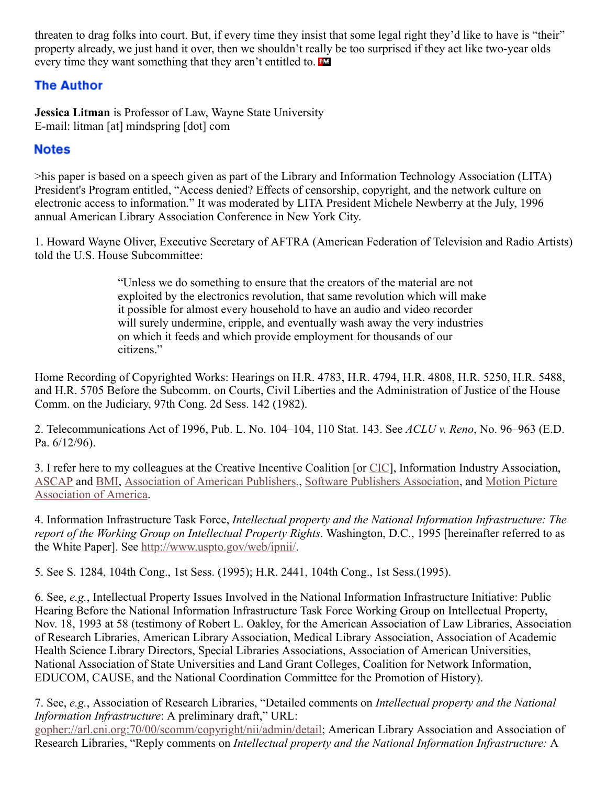threaten to drag folks into court. But, if every time they insist that some legal right they'd like to have is "their" property already, we just hand it over, then we shouldn't really be too surprised if they act like two-year olds every time they want something that they aren't entitled to. **HE** 

## <span id="page-7-0"></span>**The Author**

**Jessica Litman** is Professor of Law, Wayne State University E-mail: litman [at] mindspring [dot] com

## **Notes**

>his paper is based on a speech given as part of the Library and Information Technology Association (LITA) President's Program entitled, "Access denied? Effects of censorship, copyright, and the network culture on electronic access to information." It was moderated by LITA President Michele Newberry at the July, 1996 annual American Library Association Conference in New York City.

<span id="page-7-1"></span>1. Howard Wayne Oliver, Executive Secretary of AFTRA (American Federation of Television and Radio Artists) told the U.S. House Subcommittee:

> "Unless we do something to ensure that the creators of the material are not exploited by the electronics revolution, that same revolution which will make it possible for almost every household to have an audio and video recorder will surely undermine, cripple, and eventually wash away the very industries on which it feeds and which provide employment for thousands of our citizens."

Home Recording of Copyrighted Works: Hearings on H.R. 4783, H.R. 4794, H.R. 4808, H.R. 5250, H.R. 5488, and H.R. 5705 Before the Subcomm. on Courts, Civil Liberties and the Administration of Justice of the House Comm. on the Judiciary, 97th Cong. 2d Sess. 142 (1982).

<span id="page-7-2"></span>2. Telecommunications Act of 1996, Pub. L. No. 104–104, 110 Stat. 143. See *ACLU v. Reno*, No. 96–963 (E.D. Pa. 6/12/96).

<span id="page-7-3"></span>3. I refer here to my colleagues at the Creative Incentive Coalition [or [CIC\]](http://www.cic.org/), Information Industry Association, [ASCAP](http://www.ascap.com/) [and](http://www.mpaa.org/) [BMI](http://bmi.com/)[, A](http://www.mpaa.org/)[ssociation of American Publishers,](http://www.publishers.org/)[, S](http://www.mpaa.org/)[oftware Publishers Associatio](http://www.spa.org/)[n, and Motion Picture](http://www.mpaa.org/) Association of America.

<span id="page-7-4"></span>4. Information Infrastructure Task Force, *Intellectual property and the National Information Infrastructure: The report of the Working Group on Intellectual Property Rights*. Washington, D.C., 1995 [hereinafter referred to as the White Paper]. See <http://www.uspto.gov/web/ipnii/>.

<span id="page-7-5"></span>5. See S. 1284, 104th Cong., 1st Sess. (1995); H.R. 2441, 104th Cong., 1st Sess.(1995).

<span id="page-7-6"></span>6. See, *e.g.*, Intellectual Property Issues Involved in the National Information Infrastructure Initiative: Public Hearing Before the National Information Infrastructure Task Force Working Group on Intellectual Property, Nov. 18, 1993 at 58 (testimony of Robert L. Oakley, for the American Association of Law Libraries, Association of Research Libraries, American Library Association, Medical Library Association, Association of Academic Health Science Library Directors, Special Libraries Associations, Association of American Universities, National Association of State Universities and Land Grant Colleges, Coalition for Network Information, EDUCOM, CAUSE, and the National Coordination Committee for the Promotion of History).

<span id="page-7-7"></span>7. See, *e.g.*, Association of Research Libraries, "Detailed comments on *Intellectual property and the National Information Infrastructure*: A preliminary draft," URL:

[gopher://arl.cni.org:70/00/scomm/copyright/nii/admin/detail;](gopher://arl.cni.org:70/00/scomm/copyright/nii/admin/detail) American Library Association and Association of Research Libraries, "Reply comments on *Intellectual property and the National Information Infrastructure:* A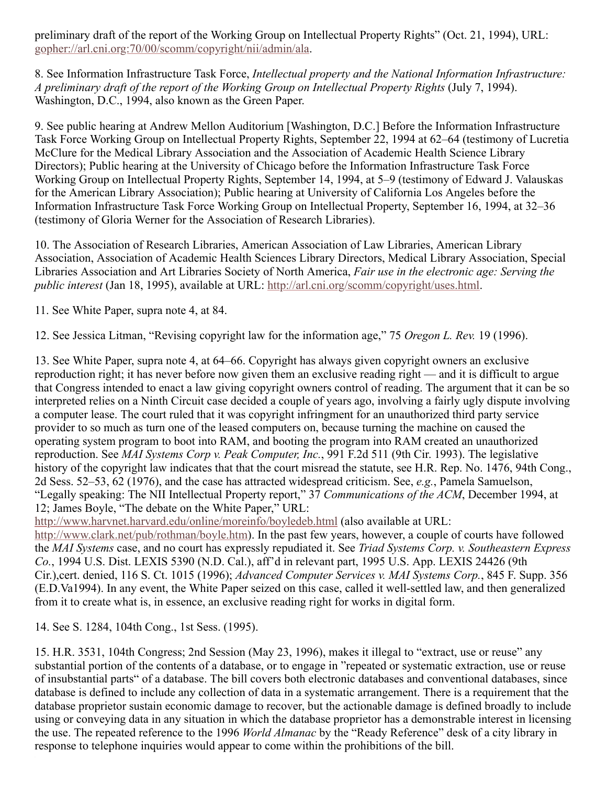preliminary draft of the report of the Working Group on Intellectual Property Rights" (Oct. 21, 1994), URL: <gopher://arl.cni.org:70/00/scomm/copyright/nii/admin/ala>.

<span id="page-8-0"></span>8. See Information Infrastructure Task Force, *Intellectual property and the National Information Infrastructure: A preliminary draft of the report of the Working Group on Intellectual Property Rights* (July 7, 1994). Washington, D.C., 1994, also known as the Green Paper.

<span id="page-8-1"></span>9. See public hearing at Andrew Mellon Auditorium [Washington, D.C.] Before the Information Infrastructure Task Force Working Group on Intellectual Property Rights, September 22, 1994 at 62–64 (testimony of Lucretia McClure for the Medical Library Association and the Association of Academic Health Science Library Directors); Public hearing at the University of Chicago before the Information Infrastructure Task Force Working Group on Intellectual Property Rights, September 14, 1994, at 5–9 (testimony of Edward J. Valauskas for the American Library Association); Public hearing at University of California Los Angeles before the Information Infrastructure Task Force Working Group on Intellectual Property, September 16, 1994, at 32–36 (testimony of Gloria Werner for the Association of Research Libraries).

<span id="page-8-2"></span>10. The Association of Research Libraries, American Association of Law Libraries, American Library Association, Association of Academic Health Sciences Library Directors, Medical Library Association, Special Libraries Association and Art Libraries Society of North America, *Fair use in the electronic age: Serving the public interest* (Jan 18, 1995), available at URL: [http://arl.cni.org/scomm/copyright/uses.html.](http://arl.cni.org/scomm/copyright/uses.html)

<span id="page-8-3"></span>11. See White Paper, supra note 4, at 84.

<span id="page-8-4"></span>12. See Jessica Litman, "Revising copyright law for the information age," 75 *Oregon L. Rev.* 19 (1996).

<span id="page-8-5"></span>13. See White Paper, supra note 4, at 64–66. Copyright has always given copyright owners an exclusive reproduction right; it has never before now given them an exclusive reading right — and it is difficult to argue that Congress intended to enact a law giving copyright owners control of reading. The argument that it can be so interpreted relies on a Ninth Circuit case decided a couple of years ago, involving a fairly ugly dispute involving a computer lease. The court ruled that it was copyright infringment for an unauthorized third party service provider to so much as turn one of the leased computers on, because turning the machine on caused the operating system program to boot into RAM, and booting the program into RAM created an unauthorized reproduction. See *MAI Systems Corp v. Peak Computer, Inc.*, 991 F.2d 511 (9th Cir. 1993). The legislative history of the copyright law indicates that that the court misread the statute, see H.R. Rep. No. 1476, 94th Cong., 2d Sess. 52–53, 62 (1976), and the case has attracted widespread criticism. See, *e.g.*, Pamela Samuelson, "Legally speaking: The NII Intellectual Property report," 37 *Communications of the ACM*, December 1994, at 12; James Boyle, "The debate on the White Paper," URL:

<http://www.harvnet.harvard.edu/online/moreinfo/boyledeb.html>(also available at URL:

[http://www.clark.net/pub/rothman/boyle.htm\)](http://www.clark.net/pub/rothman/boyle.htm). In the past few years, however, a couple of courts have followed the *MAI Systems* case, and no court has expressly repudiated it. See *Triad Systems Corp. v. Southeastern Express Co.*, 1994 U.S. Dist. LEXIS 5390 (N.D. Cal.), aff'd in relevant part, 1995 U.S. App. LEXIS 24426 (9th Cir.),cert. denied, 116 S. Ct. 1015 (1996); *Advanced Computer Services v. MAI Systems Corp.*, 845 F. Supp. 356 (E.D.Va1994). In any event, the White Paper seized on this case, called it well-settled law, and then generalized from it to create what is, in essence, an exclusive reading right for works in digital form.

<span id="page-8-6"></span>14. See S. 1284, 104th Cong., 1st Sess. (1995).

<span id="page-8-7"></span>15. H.R. 3531, 104th Congress; 2nd Session (May 23, 1996), makes it illegal to "extract, use or reuse" any substantial portion of the contents of a database, or to engage in "repeated or systematic extraction, use or reuse of insubstantial parts" of a database. The bill covers both electronic databases and conventional databases, since database is defined to include any collection of data in a systematic arrangement. There is a requirement that the database proprietor sustain economic damage to recover, but the actionable damage is defined broadly to include using or conveying data in any situation in which the database proprietor has a demonstrable interest in licensing the use. The repeated reference to the 1996 *World Almanac* by the "Ready Reference" desk of a city library in response to telephone inquiries would appear to come within the prohibitions of the bill.